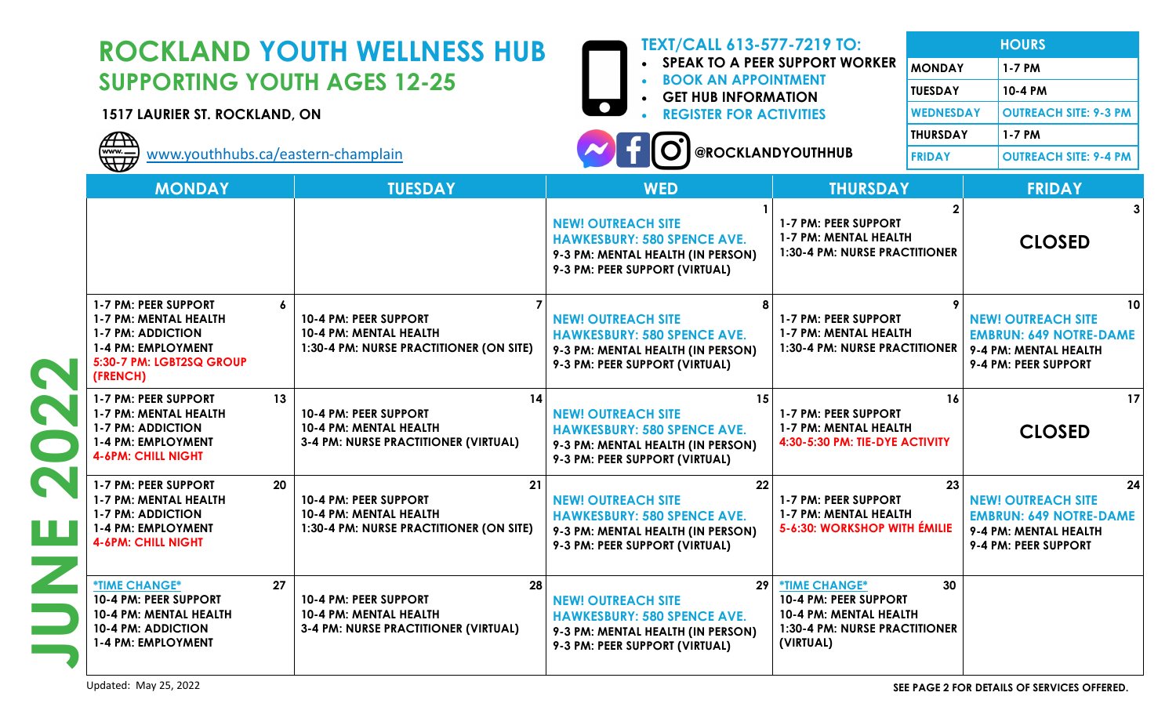|  | <b>ROCKLAND YOUTH WELLNESS HUB</b><br><b>SUPPORTING YOUTH AGES 12-25</b><br>1517 LAURIER ST. ROCKLAND, ON<br><b>DE</b><br>www.youthhubs.ca/eastern-champlain |                                                                                                  | <b>TEXT/CALL 613-577-7219 TO:</b><br><b>SPEAK TO A PEER SUPPORT WORKER</b><br><b>BOOK AN APPOINTMENT</b><br><b>GET HUB INFORMATION</b><br><b>REGISTER FOR ACTIVITIES</b><br>@ROCKLANDYOUTHHUB |                                                                                                                       | <b>MONDAY</b><br><b>TUESDAY</b><br><b>WEDNESDAY</b><br><b>THURSDAY</b><br><b>FRIDAY</b> | <b>HOURS</b><br>1-7 PM<br>10-4 PM<br><b>OUTREACH SITE: 9-3 PM</b><br>1-7 PM<br><b>OUTREACH SITE: 9-4 PM</b>       |
|--|--------------------------------------------------------------------------------------------------------------------------------------------------------------|--------------------------------------------------------------------------------------------------|-----------------------------------------------------------------------------------------------------------------------------------------------------------------------------------------------|-----------------------------------------------------------------------------------------------------------------------|-----------------------------------------------------------------------------------------|-------------------------------------------------------------------------------------------------------------------|
|  | <b>MONDAY</b>                                                                                                                                                | <b>TUESDAY</b>                                                                                   | <b>WED</b>                                                                                                                                                                                    | <b>THURSDAY</b>                                                                                                       |                                                                                         | <b>FRIDAY</b>                                                                                                     |
|  |                                                                                                                                                              |                                                                                                  | <b>NEW! OUTREACH SITE</b><br><b>HAWKESBURY: 580 SPENCE AVE.</b><br>9-3 PM: MENTAL HEALTH (IN PERSON)<br>9-3 PM: PEER SUPPORT (VIRTUAL)                                                        | 1-7 PM: PEER SUPPORT<br>1-7 PM: MENTAL HEALTH<br><b>1:30-4 PM: NURSE PRACTITIONER</b>                                 |                                                                                         | <b>CLOSED</b>                                                                                                     |
|  | 1-7 PM: PEER SUPPORT<br>$\boldsymbol{6}$<br>1-7 PM: MENTAL HEALTH<br><b>1-7 PM: ADDICTION</b><br>1-4 PM: EMPLOYMENT<br>5:30-7 PM: LGBT2SQ GROUP<br>(FRENCH)  | 10-4 PM: PEER SUPPORT<br>10-4 PM: MENTAL HEALTH<br>1:30-4 PM: NURSE PRACTITIONER (ON SITE)       | <b>NEW! OUTREACH SITE</b><br><b>HAWKESBURY: 580 SPENCE AVE.</b><br>9-3 PM: MENTAL HEALTH (IN PERSON)<br>9-3 PM: PEER SUPPORT (VIRTUAL)                                                        | 1-7 PM: PEER SUPPORT<br>1-7 PM: MENTAL HEALTH<br>1:30-4 PM: NURSE PRACTITIONER                                        |                                                                                         | 10<br><b>NEW! OUTREACH SITE</b><br><b>EMBRUN: 649 NOTRE-DAME</b><br>9-4 PM: MENTAL HEALTH<br>9-4 PM: PEER SUPPORT |
|  | 13<br>1-7 PM: PEER SUPPORT<br>1-7 PM: MENTAL HEALTH<br><b>1-7 PM: ADDICTION</b><br>1-4 PM: EMPLOYMENT<br><b>4-6PM: CHILL NIGHT</b>                           | 14<br>10-4 PM: PEER SUPPORT<br>10-4 PM: MENTAL HEALTH<br>3-4 PM: NURSE PRACTITIONER (VIRTUAL)    | 15<br><b>NEW! OUTREACH SITE</b><br><b>HAWKESBURY: 580 SPENCE AVE.</b><br>9-3 PM: MENTAL HEALTH (IN PERSON)<br>9-3 PM: PEER SUPPORT (VIRTUAL)                                                  | 1-7 PM: PEER SUPPORT<br>1-7 PM: MENTAL HEALTH<br>4:30-5:30 PM: TIE-DYE ACTIVITY                                       | 16                                                                                      | 17<br><b>CLOSED</b>                                                                                               |
|  | 20<br>1-7 PM: PEER SUPPORT<br>1-7 PM: MENTAL HEALTH<br><b>1-7 PM: ADDICTION</b><br>1-4 PM: EMPLOYMENT<br><b>4-6PM: CHILL NIGHT</b>                           | 21<br>10-4 PM: PEER SUPPORT<br>10-4 PM: MENTAL HEALTH<br>1:30-4 PM: NURSE PRACTITIONER (ON SITE) | 22<br><b>NEW! OUTREACH SITE</b><br><b>HAWKESBURY: 580 SPENCE AVE.</b><br>9-3 PM: MENTAL HEALTH (IN PERSON)<br>9-3 PM: PEER SUPPORT (VIRTUAL)                                                  | 1-7 PM: PEER SUPPORT<br>1-7 PM: MENTAL HEALTH<br>5-6:30: WORKSHOP WITH ÉMILIE                                         | 23                                                                                      | 24<br><b>NEW! OUTREACH SITE</b><br><b>EMBRUN: 649 NOTRE-DAME</b><br>9-4 PM: MENTAL HEALTH<br>9-4 PM: PEER SUPPORT |
|  | 27<br><b><i><u>*TIME CHANGE*</u></i></b><br>10-4 PM: PEER SUPPORT<br>10-4 PM: MENTAL HEALTH<br><b>10-4 PM: ADDICTION</b><br>1-4 PM: EMPLOYMENT               | 28<br>10-4 PM: PEER SUPPORT<br>10-4 PM: MENTAL HEALTH<br>3-4 PM: NURSE PRACTITIONER (VIRTUAL)    | 29 <sup>°</sup><br><b>NEW! OUTREACH SITE</b><br><b>HAWKESBURY: 580 SPENCE AVE.</b><br>9-3 PM: MENTAL HEALTH (IN PERSON)<br>9-3 PM: PEER SUPPORT (VIRTUAL)                                     | *TIME CHANGE*<br>10-4 PM: PEER SUPPORT<br>10-4 PM: MENTAL HEALTH<br><b>1:30-4 PM: NURSE PRACTITIONER</b><br>(VIRTUAL) | 30                                                                                      |                                                                                                                   |